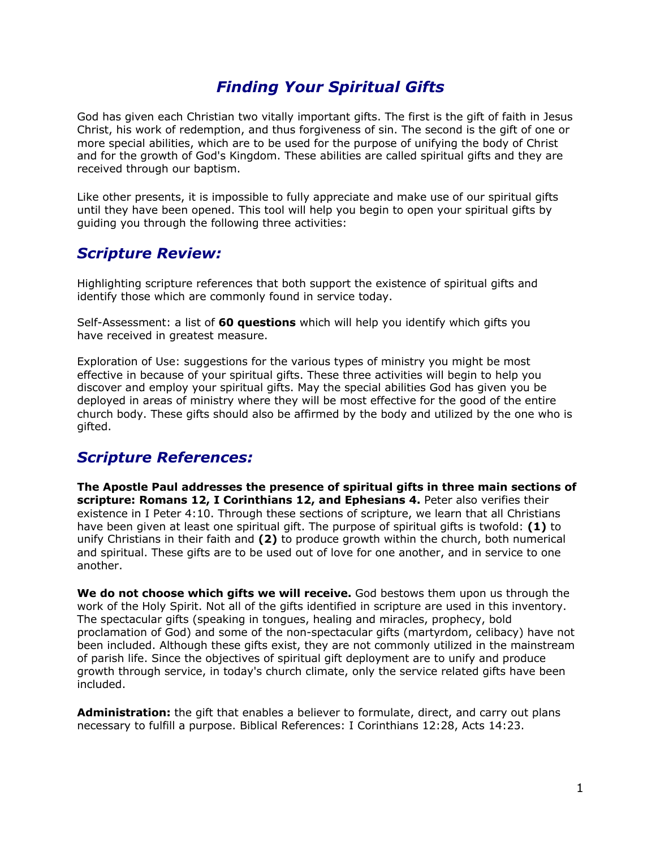# *Finding Your Spiritual Gifts*

God has given each Christian two vitally important gifts. The first is the gift of faith in Jesus Christ, his work of redemption, and thus forgiveness of sin. The second is the gift of one or more special abilities, which are to be used for the purpose of unifying the body of Christ and for the growth of God's Kingdom. These abilities are called spiritual gifts and they are received through our baptism.

Like other presents, it is impossible to fully appreciate and make use of our spiritual gifts until they have been opened. This tool will help you begin to open your spiritual gifts by guiding you through the following three activities:

# *Scripture Review:*

Highlighting scripture references that both support the existence of spiritual gifts and identify those which are commonly found in service today.

Self-Assessment: a list of **60 questions** which will help you identify which gifts you have received in greatest measure.

Exploration of Use: suggestions for the various types of ministry you might be most effective in because of your spiritual gifts. These three activities will begin to help you discover and employ your spiritual gifts. May the special abilities God has given you be deployed in areas of ministry where they will be most effective for the good of the entire church body. These gifts should also be affirmed by the body and utilized by the one who is gifted.

# *Scripture References:*

**The Apostle Paul addresses the presence of spiritual gifts in three main sections of scripture: Romans 12, I Corinthians 12, and Ephesians 4.** Peter also verifies their existence in I Peter 4:10. Through these sections of scripture, we learn that all Christians have been given at least one spiritual gift. The purpose of spiritual gifts is twofold: **(1)** to unify Christians in their faith and **(2)** to produce growth within the church, both numerical and spiritual. These gifts are to be used out of love for one another, and in service to one another.

**We do not choose which gifts we will receive.** God bestows them upon us through the work of the Holy Spirit. Not all of the gifts identified in scripture are used in this inventory. The spectacular gifts (speaking in tongues, healing and miracles, prophecy, bold proclamation of God) and some of the non-spectacular gifts (martyrdom, celibacy) have not been included. Although these gifts exist, they are not commonly utilized in the mainstream of parish life. Since the objectives of spiritual gift deployment are to unify and produce growth through service, in today's church climate, only the service related gifts have been included.

**Administration:** the gift that enables a believer to formulate, direct, and carry out plans necessary to fulfill a purpose. Biblical References: I Corinthians 12:28, Acts 14:23.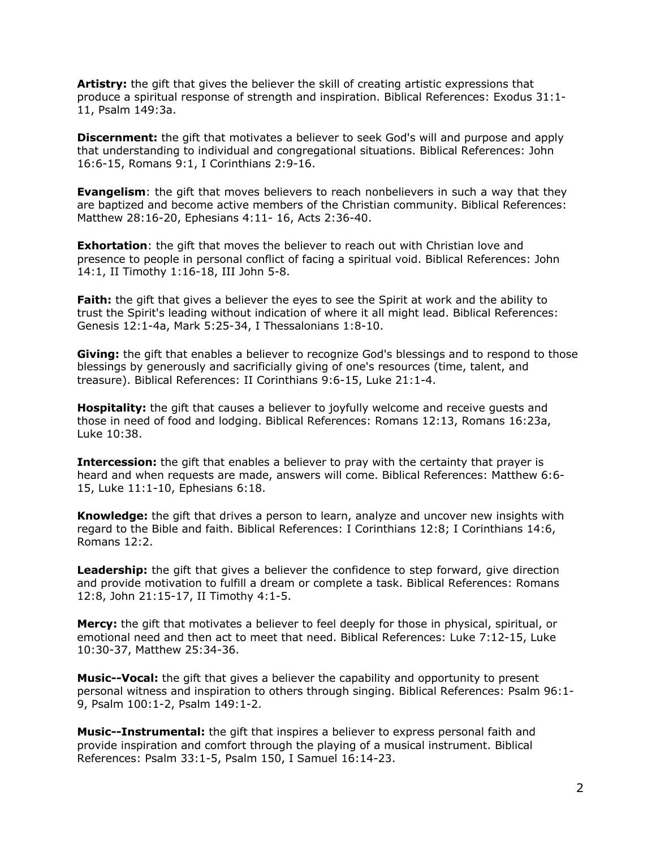**Artistry:** the gift that gives the believer the skill of creating artistic expressions that produce a spiritual response of strength and inspiration. Biblical References: Exodus 31:1- 11, Psalm 149:3a.

**Discernment:** the gift that motivates a believer to seek God's will and purpose and apply that understanding to individual and congregational situations. Biblical References: John 16:6-15, Romans 9:1, I Corinthians 2:9-16.

**Evangelism**: the gift that moves believers to reach nonbelievers in such a way that they are baptized and become active members of the Christian community. Biblical References: Matthew 28:16-20, Ephesians 4:11- 16, Acts 2:36-40.

**Exhortation**: the gift that moves the believer to reach out with Christian love and presence to people in personal conflict of facing a spiritual void. Biblical References: John 14:1, II Timothy 1:16-18, III John 5-8.

**Faith:** the gift that gives a believer the eyes to see the Spirit at work and the ability to trust the Spirit's leading without indication of where it all might lead. Biblical References: Genesis 12:1-4a, Mark 5:25-34, I Thessalonians 1:8-10.

**Giving:** the gift that enables a believer to recognize God's blessings and to respond to those blessings by generously and sacrificially giving of one's resources (time, talent, and treasure). Biblical References: II Corinthians 9:6-15, Luke 21:1-4.

**Hospitality:** the gift that causes a believer to joyfully welcome and receive guests and those in need of food and lodging. Biblical References: Romans 12:13, Romans 16:23a, Luke 10:38.

**Intercession:** the gift that enables a believer to pray with the certainty that prayer is heard and when requests are made, answers will come. Biblical References: Matthew 6:6- 15, Luke 11:1-10, Ephesians 6:18.

**Knowledge:** the gift that drives a person to learn, analyze and uncover new insights with regard to the Bible and faith. Biblical References: I Corinthians 12:8; I Corinthians 14:6, Romans 12:2.

**Leadership:** the gift that gives a believer the confidence to step forward, give direction and provide motivation to fulfill a dream or complete a task. Biblical References: Romans 12:8, John 21:15-17, II Timothy 4:1-5.

**Mercy:** the gift that motivates a believer to feel deeply for those in physical, spiritual, or emotional need and then act to meet that need. Biblical References: Luke 7:12-15, Luke 10:30-37, Matthew 25:34-36.

**Music--Vocal:** the gift that gives a believer the capability and opportunity to present personal witness and inspiration to others through singing. Biblical References: Psalm 96:1- 9, Psalm 100:1-2, Psalm 149:1-2.

**Music--Instrumental:** the gift that inspires a believer to express personal faith and provide inspiration and comfort through the playing of a musical instrument. Biblical References: Psalm 33:1-5, Psalm 150, I Samuel 16:14-23.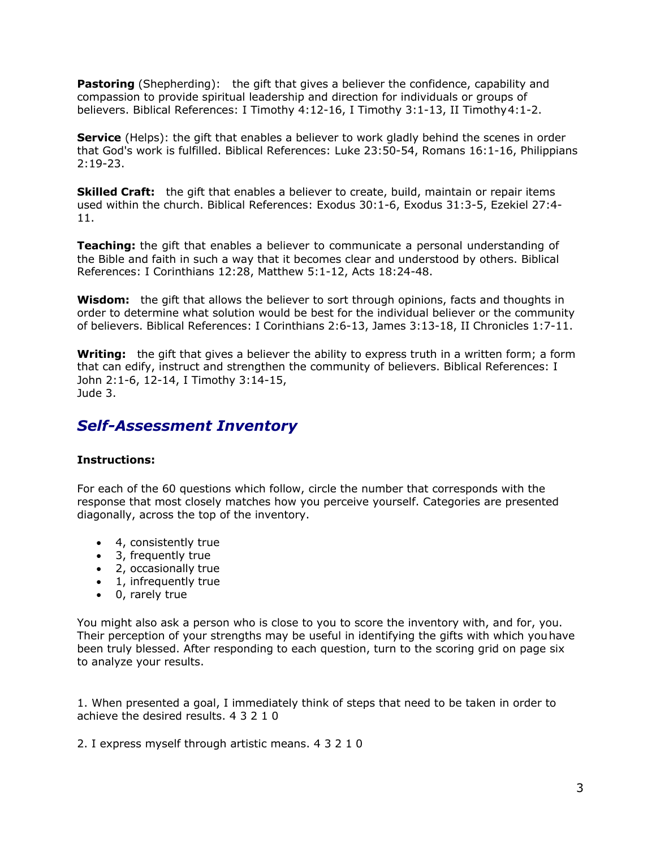**Pastoring** (Shepherding): the gift that gives a believer the confidence, capability and compassion to provide spiritual leadership and direction for individuals or groups of believers. Biblical References: I Timothy 4:12-16, I Timothy 3:1-13, II Timothy4:1-2.

**Service** (Helps): the gift that enables a believer to work gladly behind the scenes in order that God's work is fulfilled. Biblical References: Luke 23:50-54, Romans 16:1-16, Philippians 2:19-23.

**Skilled Craft:** the gift that enables a believer to create, build, maintain or repair items used within the church. Biblical References: Exodus 30:1-6, Exodus 31:3-5, Ezekiel 27:4- 11.

**Teaching:** the gift that enables a believer to communicate a personal understanding of the Bible and faith in such a way that it becomes clear and understood by others. Biblical References: I Corinthians 12:28, Matthew 5:1-12, Acts 18:24-48.

**Wisdom:** the gift that allows the believer to sort through opinions, facts and thoughts in order to determine what solution would be best for the individual believer or the community of believers. Biblical References: I Corinthians 2:6-13, James 3:13-18, II Chronicles 1:7-11.

**Writing:** the gift that gives a believer the ability to express truth in a written form; a form that can edify, instruct and strengthen the community of believers. Biblical References: I John 2:1-6, 12-14, I Timothy 3:14-15, Jude 3.

# *Self-Assessment Inventory*

# **Instructions:**

For each of the 60 questions which follow, circle the number that corresponds with the response that most closely matches how you perceive yourself. Categories are presented diagonally, across the top of the inventory.

- 4, consistently true
- 3, frequently true
- 2, occasionally true
- 1, infrequently true
- 0, rarely true

You might also ask a person who is close to you to score the inventory with, and for, you. Their perception of your strengths may be useful in identifying the gifts with which youhave been truly blessed. After responding to each question, turn to the scoring grid on page six to analyze your results.

1. When presented a goal, I immediately think of steps that need to be taken in order to achieve the desired results. 4 3 2 1 0

2. I express myself through artistic means. 4 3 2 1 0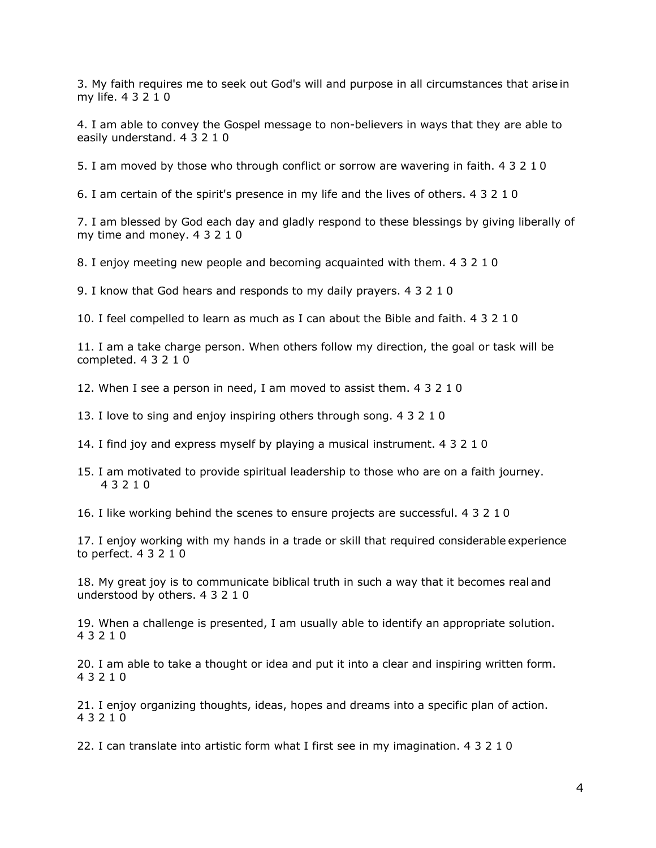3. My faith requires me to seek out God's will and purpose in all circumstances that arise in my life. 4 3 2 1 0

4. I am able to convey the Gospel message to non-believers in ways that they are able to easily understand. 4 3 2 1 0

5. I am moved by those who through conflict or sorrow are wavering in faith. 4 3 2 1 0

6. I am certain of the spirit's presence in my life and the lives of others. 4 3 2 1 0

7. I am blessed by God each day and gladly respond to these blessings by giving liberally of my time and money. 4 3 2 1 0

8. I enjoy meeting new people and becoming acquainted with them. 4 3 2 1 0

9. I know that God hears and responds to my daily prayers. 4 3 2 1 0

10. I feel compelled to learn as much as I can about the Bible and faith. 4 3 2 1 0

11. I am a take charge person. When others follow my direction, the goal or task will be completed. 4 3 2 1 0

12. When I see a person in need, I am moved to assist them. 4 3 2 1 0

13. I love to sing and enjoy inspiring others through song. 4 3 2 1 0

14. I find joy and express myself by playing a musical instrument. 4 3 2 1 0

15. I am motivated to provide spiritual leadership to those who are on a faith journey. 4 3 2 1 0

16. I like working behind the scenes to ensure projects are successful. 4 3 2 1 0

17. I enjoy working with my hands in a trade or skill that required considerable experience to perfect. 4 3 2 1 0

18. My great joy is to communicate biblical truth in such a way that it becomes real and understood by others. 4 3 2 1 0

19. When a challenge is presented, I am usually able to identify an appropriate solution. 4 3 2 1 0

20. I am able to take a thought or idea and put it into a clear and inspiring written form. 4 3 2 1 0

21. I enjoy organizing thoughts, ideas, hopes and dreams into a specific plan of action. 4 3 2 1 0

22. I can translate into artistic form what I first see in my imagination. 4 3 2 1 0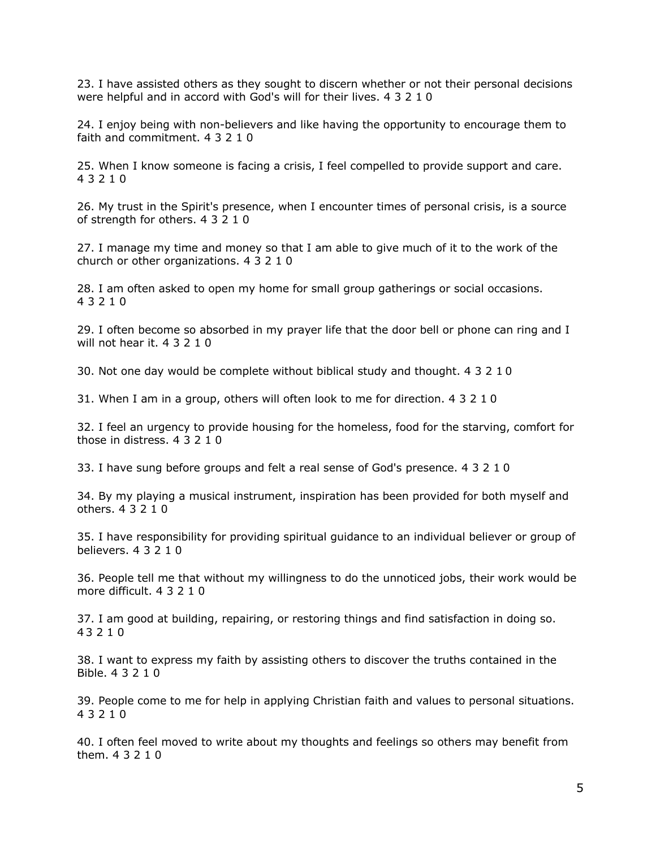23. I have assisted others as they sought to discern whether or not their personal decisions were helpful and in accord with God's will for their lives. 4 3 2 1 0

24. I enjoy being with non-believers and like having the opportunity to encourage them to faith and commitment. 4 3 2 1 0

25. When I know someone is facing a crisis, I feel compelled to provide support and care. 4 3 2 1 0

26. My trust in the Spirit's presence, when I encounter times of personal crisis, is a source of strength for others. 4 3 2 1 0

27. I manage my time and money so that I am able to give much of it to the work of the church or other organizations. 4 3 2 1 0

28. I am often asked to open my home for small group gatherings or social occasions. 4 3 2 1 0

29. I often become so absorbed in my prayer life that the door bell or phone can ring and I will not hear it. 4 3 2 1 0

30. Not one day would be complete without biblical study and thought. 4 3 2 1 0

31. When I am in a group, others will often look to me for direction. 4 3 2 1 0

32. I feel an urgency to provide housing for the homeless, food for the starving, comfort for those in distress. 4 3 2 1 0

33. I have sung before groups and felt a real sense of God's presence. 4 3 2 1 0

34. By my playing a musical instrument, inspiration has been provided for both myself and others. 4 3 2 1 0

35. I have responsibility for providing spiritual guidance to an individual believer or group of believers. 4 3 2 1 0

36. People tell me that without my willingness to do the unnoticed jobs, their work would be more difficult. 4 3 2 1 0

37. I am good at building, repairing, or restoring things and find satisfaction in doing so. 4 3 2 1 0

38. I want to express my faith by assisting others to discover the truths contained in the Bible. 4 3 2 1 0

39. People come to me for help in applying Christian faith and values to personal situations. 4 3 2 1 0

40. I often feel moved to write about my thoughts and feelings so others may benefit from them. 4 3 2 1 0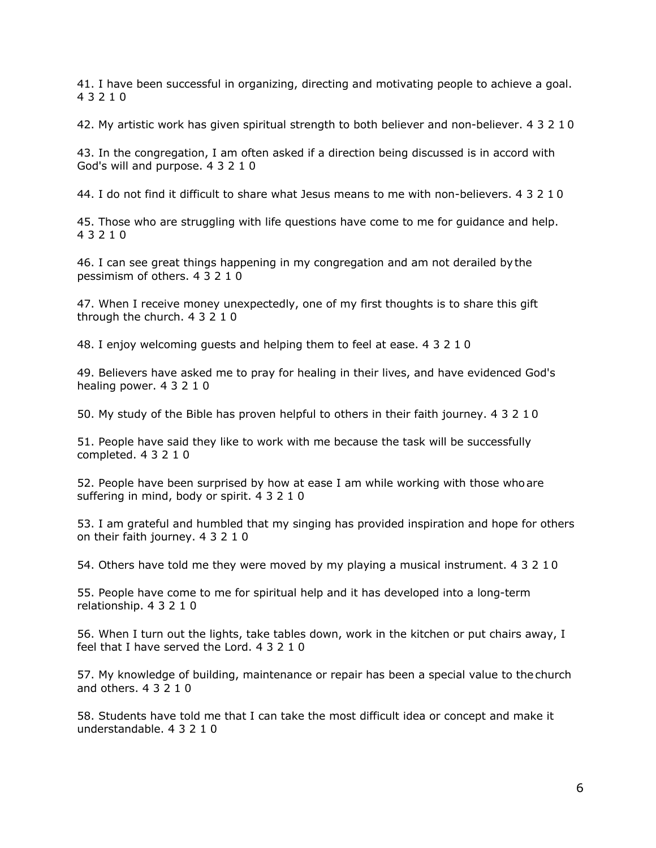41. I have been successful in organizing, directing and motivating people to achieve a goal. 4 3 2 1 0

42. My artistic work has given spiritual strength to both believer and non-believer. 4 3 2 1 0

43. In the congregation, I am often asked if a direction being discussed is in accord with God's will and purpose. 4 3 2 1 0

44. I do not find it difficult to share what Jesus means to me with non-believers. 4 3 2 1 0

45. Those who are struggling with life questions have come to me for guidance and help. 4 3 2 1 0

46. I can see great things happening in my congregation and am not derailed bythe pessimism of others. 4 3 2 1 0

47. When I receive money unexpectedly, one of my first thoughts is to share this gift through the church. 4 3 2 1 0

48. I enjoy welcoming guests and helping them to feel at ease. 4 3 2 1 0

49. Believers have asked me to pray for healing in their lives, and have evidenced God's healing power. 4 3 2 1 0

50. My study of the Bible has proven helpful to others in their faith journey. 4 3 2 1 0

51. People have said they like to work with me because the task will be successfully completed. 4 3 2 1 0

52. People have been surprised by how at ease I am while working with those whoare suffering in mind, body or spirit. 4 3 2 1 0

53. I am grateful and humbled that my singing has provided inspiration and hope for others on their faith journey. 4 3 2 1 0

54. Others have told me they were moved by my playing a musical instrument. 4 3 2 1 0

55. People have come to me for spiritual help and it has developed into a long-term relationship. 4 3 2 1 0

56. When I turn out the lights, take tables down, work in the kitchen or put chairs away, I feel that I have served the Lord. 4 3 2 1 0

57. My knowledge of building, maintenance or repair has been a special value to the church and others. 4 3 2 1 0

58. Students have told me that I can take the most difficult idea or concept and make it understandable. 4 3 2 1 0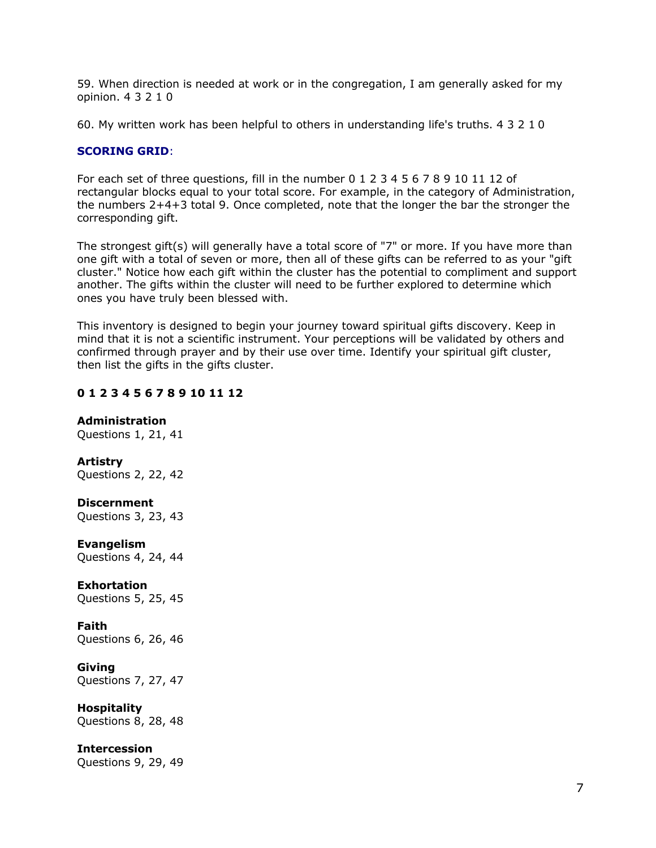59. When direction is needed at work or in the congregation, I am generally asked for my opinion. 4 3 2 1 0

60. My written work has been helpful to others in understanding life's truths. 4 3 2 1 0

# **SCORING GRID**:

For each set of three questions, fill in the number 0 1 2 3 4 5 6 7 8 9 10 11 12 of rectangular blocks equal to your total score. For example, in the category of Administration, the numbers 2+4+3 total 9. Once completed, note that the longer the bar the stronger the corresponding gift.

The strongest gift(s) will generally have a total score of "7" or more. If you have more than one gift with a total of seven or more, then all of these gifts can be referred to as your "gift cluster." Notice how each gift within the cluster has the potential to compliment and support another. The gifts within the cluster will need to be further explored to determine which ones you have truly been blessed with.

This inventory is designed to begin your journey toward spiritual gifts discovery. Keep in mind that it is not a scientific instrument. Your perceptions will be validated by others and confirmed through prayer and by their use over time. Identify your spiritual gift cluster, then list the gifts in the gifts cluster.

# **0 1 2 3 4 5 6 7 8 9 10 11 12**

# **Administration**

Questions 1, 21, 41

# **Artistry**

Questions 2, 22, 42

# **Discernment**

Questions 3, 23, 43

# **Evangelism**

Questions 4, 24, 44

# **Exhortation**

Questions 5, 25, 45

# **Faith**

Questions 6, 26, 46

# **Giving**

Questions 7, 27, 47

# **Hospitality**

Questions 8, 28, 48

# **Intercession**

Questions 9, 29, 49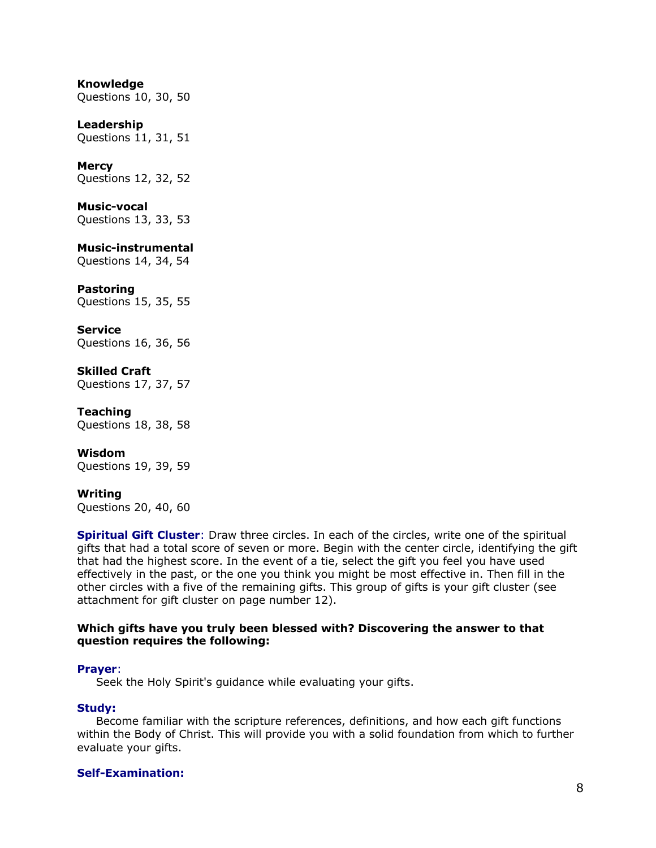# **Knowledge**

Questions 10, 30, 50

# **Leadership**

Questions 11, 31, 51

### **Mercy**

Questions 12, 32, 52

### **Music-vocal**

Questions 13, 33, 53

# **Music-instrumental**

Questions 14, 34, 54

### **Pastoring**

Questions 15, 35, 55

# **Service**

Questions 16, 36, 56

# **Skilled Craft**

Questions 17, 37, 57

#### **Teaching**

Questions 18, 38, 58

# **Wisdom**

Questions 19, 39, 59

#### **Writing**

Questions 20, 40, 60

**Spiritual Gift Cluster**: Draw three circles. In each of the circles, write one of the spiritual gifts that had a total score of seven or more. Begin with the center circle, identifying the gift that had the highest score. In the event of a tie, select the gift you feel you have used effectively in the past, or the one you think you might be most effective in. Then fill in the other circles with a five of the remaining gifts. This group of gifts is your gift cluster (see attachment for gift cluster on page number 12).

#### **Which gifts have you truly been blessed with? Discovering the answer to that question requires the following:**

#### **Prayer**:

Seek the Holy Spirit's guidance while evaluating your gifts.

#### **Study:**

Become familiar with the scripture references, definitions, and how each gift functions within the Body of Christ. This will provide you with a solid foundation from which to further evaluate your gifts.

# **Self-Examination:**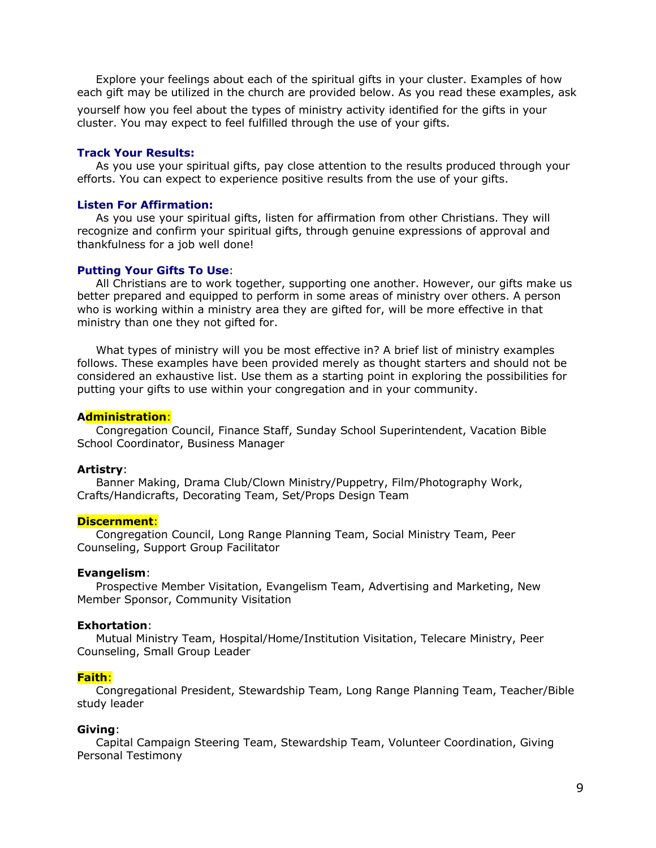Explore your feelings about each of the spiritual gifts in your cluster. Examples of how each gift may be utilized in the church are provided below. As you read these examples, ask

yourself how you feel about the types of ministry activity identified for the gifts in your cluster. You may expect to feel fulfilled through the use of your gifts.

### **Track Your Results:**

As you use your spiritual gifts, pay close attention to the results produced through your efforts. You can expect to experience positive results from the use of your gifts.

#### **Listen For Affirmation:**

As you use your spiritual gifts, listen for affirmation from other Christians. They will recognize and confirm your spiritual gifts, through genuine expressions of approval and thankfulness for a job well done!

#### **Putting Your Gifts To Use**:

All Christians are to work together, supporting one another. However, our gifts make us better prepared and equipped to perform in some areas of ministry over others. A person who is working within a ministry area they are gifted for, will be more effective in that ministry than one they not gifted for.

What types of ministry will you be most effective in? A brief list of ministry examples follows. These examples have been provided merely as thought starters and should not be considered an exhaustive list. Use them as a starting point in exploring the possibilities for putting your gifts to use within your congregation and in your community.

#### **Administration**:

Congregation Council, Finance Staff, Sunday School Superintendent, Vacation Bible School Coordinator, Business Manager

#### **Artistry**:

Banner Making, Drama Club/Clown Ministry/Puppetry, Film/Photography Work, Crafts/Handicrafts, Decorating Team, Set/Props Design Team

#### **Discernment**:

Congregation Council, Long Range Planning Team, Social Ministry Team, Peer Counseling, Support Group Facilitator

#### **Evangelism**:

Prospective Member Visitation, Evangelism Team, Advertising and Marketing, New Member Sponsor, Community Visitation

#### **Exhortation**:

Mutual Ministry Team, Hospital/Home/Institution Visitation, Telecare Ministry, Peer Counseling, Small Group Leader

#### **Faith**:

Congregational President, Stewardship Team, Long Range Planning Team, Teacher/Bible study leader

#### **Giving**:

Capital Campaign Steering Team, Stewardship Team, Volunteer Coordination, Giving Personal Testimony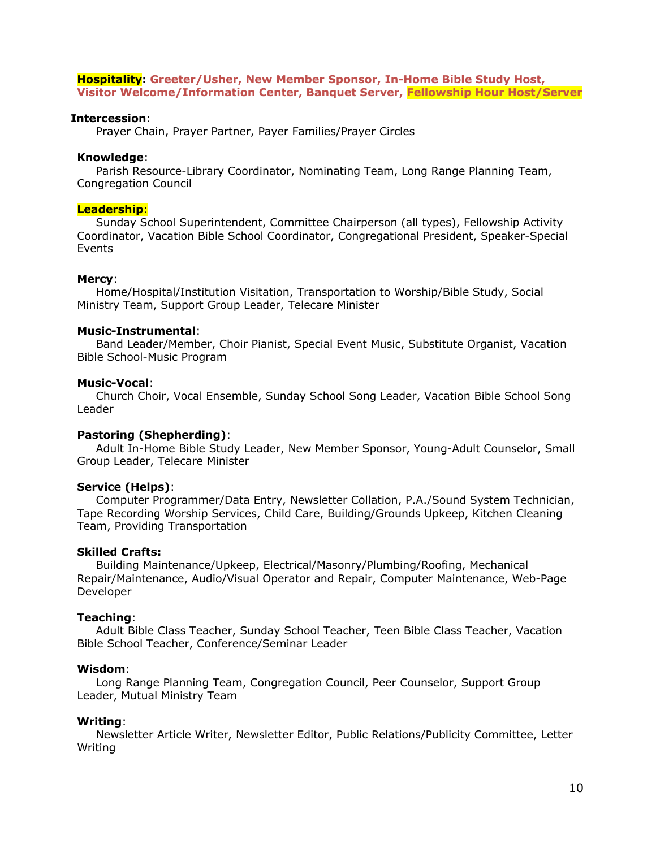### **Hospitality: Greeter/Usher, New Member Sponsor, In-Home Bible Study Host, Visitor Welcome/Information Center, Banquet Server, Fellowship Hour Host/Server**

#### **Intercession**:

Prayer Chain, Prayer Partner, Payer Families/Prayer Circles

### **Knowledge**:

Parish Resource-Library Coordinator, Nominating Team, Long Range Planning Team, Congregation Council

#### **Leadership**:

Sunday School Superintendent, Committee Chairperson (all types), Fellowship Activity Coordinator, Vacation Bible School Coordinator, Congregational President, Speaker-Special Events

### **Mercy**:

Home/Hospital/Institution Visitation, Transportation to Worship/Bible Study, Social Ministry Team, Support Group Leader, Telecare Minister

### **Music-Instrumental**:

Band Leader/Member, Choir Pianist, Special Event Music, Substitute Organist, Vacation Bible School-Music Program

### **Music-Vocal**:

Church Choir, Vocal Ensemble, Sunday School Song Leader, Vacation Bible School Song Leader

# **Pastoring (Shepherding)**:

Adult In-Home Bible Study Leader, New Member Sponsor, Young-Adult Counselor, Small Group Leader, Telecare Minister

# **Service (Helps)**:

Computer Programmer/Data Entry, Newsletter Collation, P.A./Sound System Technician, Tape Recording Worship Services, Child Care, Building/Grounds Upkeep, Kitchen Cleaning Team, Providing Transportation

#### **Skilled Crafts:**

Building Maintenance/Upkeep, Electrical/Masonry/Plumbing/Roofing, Mechanical Repair/Maintenance, Audio/Visual Operator and Repair, Computer Maintenance, Web-Page Developer

#### **Teaching**:

Adult Bible Class Teacher, Sunday School Teacher, Teen Bible Class Teacher, Vacation Bible School Teacher, Conference/Seminar Leader

# **Wisdom**:

Long Range Planning Team, Congregation Council, Peer Counselor, Support Group Leader, Mutual Ministry Team

# **Writing**:

Newsletter Article Writer, Newsletter Editor, Public Relations/Publicity Committee, Letter Writing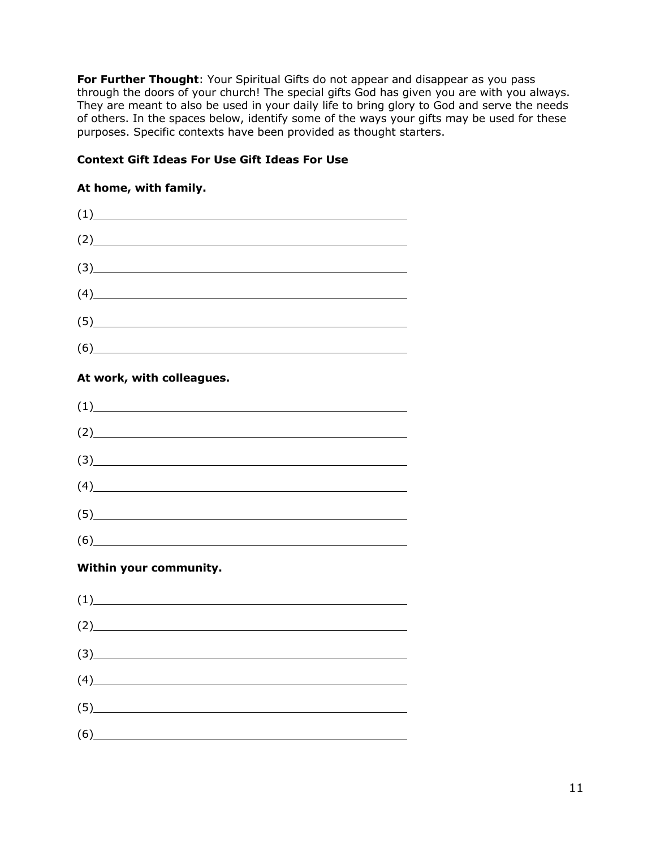**For Further Thought: Your Spiritual Gifts do not appear and disappear as you pass** through the doors of your church! The special gifts God has given you are with you always. They are meant to also be used in your daily life to bring glory to God and serve the needs of others. In the spaces below, identify some of the ways your gifts may be used for these purposes. Specific contexts have been provided as thought starters.

# **Context Gift Ideas For Use Gift Ideas For Use**

# **At home, with family.**

| (1)                                                                                                                                                                                                                         |  |
|-----------------------------------------------------------------------------------------------------------------------------------------------------------------------------------------------------------------------------|--|
| (2)                                                                                                                                                                                                                         |  |
| (3)                                                                                                                                                                                                                         |  |
| (4)                                                                                                                                                                                                                         |  |
| (5)                                                                                                                                                                                                                         |  |
| (6)                                                                                                                                                                                                                         |  |
| At work, with colleagues.                                                                                                                                                                                                   |  |
| (1)                                                                                                                                                                                                                         |  |
| $(2)$ and $(2)$ and $(3)$ and $(4)$ and $(5)$ and $(6)$ and $(7)$ and $(8)$ and $(9)$ and $(1)$ and $(2)$ and $(3)$ and $(4)$ and $(5)$ and $(6)$ and $(7)$ and $(8)$ and $(9)$ and $(1)$ and $(2)$ and $(3)$ and $(4)$ and |  |
| (3)                                                                                                                                                                                                                         |  |
| (4)                                                                                                                                                                                                                         |  |
| (5)                                                                                                                                                                                                                         |  |
| (6)                                                                                                                                                                                                                         |  |
| Within your community.                                                                                                                                                                                                      |  |
| (1)                                                                                                                                                                                                                         |  |
| (2)                                                                                                                                                                                                                         |  |
| $\left(3\right)$                                                                                                                                                                                                            |  |
| (4)                                                                                                                                                                                                                         |  |
| (5)                                                                                                                                                                                                                         |  |
| (6)                                                                                                                                                                                                                         |  |